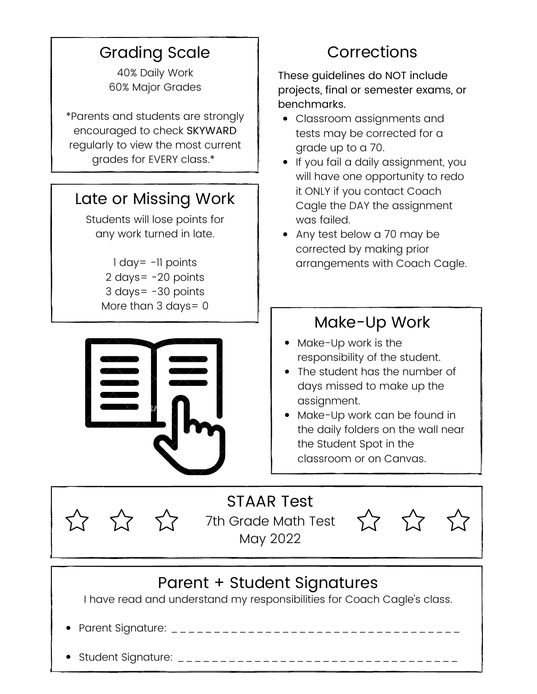#### Grading Scale

40% Daily Work 60% Major Grades

\*Parents and students are strongly encouraged to check SKYWARD regularly to view the most current grades for EVERY class.\*

#### Late or Missing Work

Students will lose points for any work turned in late.

> day= -11 points days= -20 points days= -30 points More than 3 days = 0



#### **Corrections**

These guidelines do NOT include projects, final or semester exams, or benchmarks.

- Classroom assignments and tests may be corrected for a grade up to a 70.
- If you fail a daily assignment, you will have one opportunity to redo it ONLY if you contact Coach Cagle the DAY the assignment was failed.
- Any test below a 70 may be corrected by making prior arrangements with Coach Cagle.

#### Make-Up Work

- Make-Up work is the responsibility of the student.
- The student has the number of days missed to make up the assignment.
- Make-Up work can be found in the daily folders on the wall near the Student Spot in the classroom or on Canvas.

# STAAR Test

7th Grade Math Test May 2022



#### Parent + Student Signatures

I have read and understand my responsibilities for Coach Cagle's class.

Parent Signature: \_\_\_\_\_\_\_\_\_\_\_\_\_\_\_\_\_\_\_\_\_\_\_\_\_\_\_\_\_\_\_\_\_\_

 $\bigcirc$   $\bigcirc$   $\bigcirc$ 

Student Signature: \_\_\_\_\_\_\_\_\_\_\_\_\_\_\_\_\_\_\_\_\_\_\_\_\_\_\_\_\_\_\_\_\_